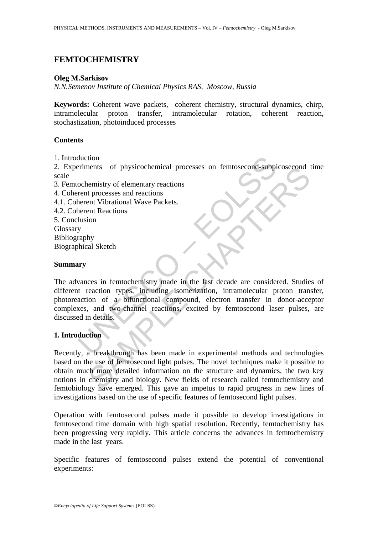# **FEMTOCHEMISTRY**

## **Oleg M.Sarkisov**

*N.N.Semenov Institute of Chemical Physics RAS, Moscow, Russia* 

**Keywords:** Coherent wave packets, coherent chemistry, structural dynamics, chirp, intramolecular proton transfer, intramolecular rotation, coherent reaction, stochastization, photoinduced processes

## **Contents**

1. Introduction

2. Experiments of physicochemical processes on femtosecond-subpicosecond time scale

- 3. Femtochemistry of elementary reactions
- 4. Coherent processes and reactions
- 4.1. Coherent Vibrational Wave Packets.
- 4.2. Coherent Reactions
- 5. Conclusion
- **Glossary**
- Bibliography

Biographical Sketch

### **Summary**

duction<br>
ochemistry of elementary reactions<br>
ochemistry of elementary reactions<br>
rent processes and reactions<br>
herent Nibrational Wave Packets.<br>
herent Reactions<br>
lusion<br>
values in femtochemistry made in the last decade ar nents of physicochemical processes on temtosecond-subplcosecond<br>
emistry of elementary reactions<br>
throcesses and reactions<br>
and Vibrational Wave Packets.<br>
The all Sketch<br>
they<br>
al Sketch<br>
ces in femtochemistry made in the The advances in femtochemistry made in the last decade are considered. Studies of different reaction types, including isomerization, intramolecular proton transfer, photoreaction of a bifunctional compound, electron transfer in donor-acceptor complexes, and two-channel reactions, excited by femtosecond laser pulses, are discussed in details.

# **1. Introduction**

Recently, a breakthrough has been made in experimental methods and technologies based on the use of femtosecond light pulses. The novel techniques make it possible to obtain much more detailed information on the structure and dynamics, the two key notions in chemistry and biology. New fields of research called femtochemistry and femtobiology have emerged. This gave an impetus to rapid progress in new lines of investigations based on the use of specific features of femtosecond light pulses.

Operation with femtosecond pulses made it possible to develop investigations in femtosecond time domain with high spatial resolution. Recently, femtochemistry has been progressing very rapidly. This article concerns the advances in femtochemistry made in the last years.

Specific features of femtosecond pulses extend the potential of conventional experiments: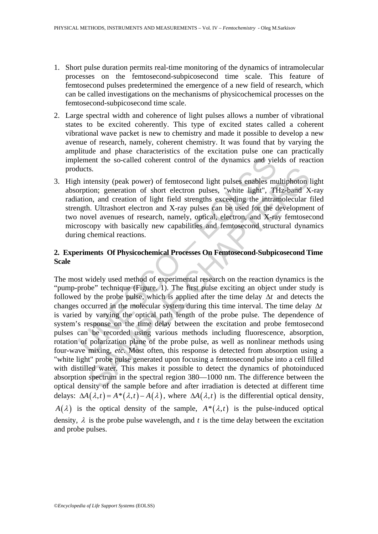- 1. Short pulse duration permits real-time monitoring of the dynamics of intramolecular processes on the femtosecond-subpicosecond time scale. This feature of femtosecond pulses predetermined the emergence of a new field of research, which can be called investigations on the mechanisms of physicochemical processes on the femtosecond-subpicosecond time scale.
- 2. Large spectral width and coherence of light pulses allows a number of vibrational states to be excited coherently. This type of excited states called a coherent vibrational wave packet is new to chemistry and made it possible to develop a new avenue of research, namely, coherent chemistry. It was found that by varying the amplitude and phase characteristics of the excitation pulse one can practically implement the so-called coherent control of the dynamics and yields of reaction products.
- 3. High intensity (peak power) of femtosecond light pulses enables multiphoton light absorption; generation of short electron pulses, "white light", THz-band X-ray radiation, and creation of light field strengths exceeding the intramolecular filed strength. Ultrashort electron and X-ray pulses can be used for the development of two novel avenues of research, namely, optical, electron, and X-ray femtosecond microscopy with basically new capabilities and femtosecond structural dynamics during chemical reactions.

# **2. Experiments Of Physicochemical Processes On Femtosecond-Subpicosecond Time Scale**

lement the so-called coherent control of the dynamics and yie<br>lucts.<br>
h intensity (peak power) of femtosecond light pulses enables m<br>
protion; generation of short electron pulses, "white light", TH<br>
ation, and creation of ts.<br>
tensity (peak power) of femtosecond light pulses enables multiphoton<br>
tions; generation of short electron pulses, "white light", THz-band X<br>
in, and creation of light field strengths exceeding the intramolecular<br>
In. The most widely used method of experimental research on the reaction dynamics is the "pump-probe" technique (Figure. 1). The first pulse exciting an object under study is followed by the probe pulse, which is applied after the time delay Δ*t* and detects the changes occurred in the molecular system during this time interval. The time delay Δ*t* is varied by varying the optical path length of the probe pulse. The dependence of system's response on the time delay between the excitation and probe femtosecond pulses can be recorded using various methods including fluorescence, absorption, rotation of polarization plane of the probe pulse, as well as nonlinear methods using four-wave mixing, *etc*. Most often, this response is detected from absorption using a "white light" probe pulse generated upon focusing a femtosecond pulse into a cell filled with distilled water. This makes it possible to detect the dynamics of photoinduced absorption spectrum in the spectral region 380—1000 nm. The difference between the optical density of the sample before and after irradiation is detected at different time delays:  $\Delta A(\lambda, t) = A^*(\lambda, t) - A(\lambda)$ , where  $\Delta A(\lambda, t)$  is the differential optical density, *A*( $\lambda$ ) is the optical density of the sample,  $A^*(\lambda,t)$  is the pulse-induced optical density,  $\lambda$  is the probe pulse wavelength, and  $t$  is the time delay between the excitation and probe pulses.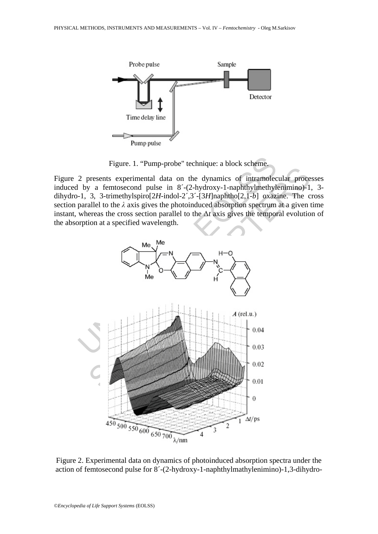

Figure. 1. "Pump-probe" technique: a block scheme.

Figure 2 presents experimental data on the dynamics of intramolecular processes induced by a femtosecond pulse in 8´-(2-hydroxy-1-naphthylmethylenimino)-1, 3 dihydro-1, 3, 3-trimethylspiro[2*H*-indol-2´,3´-[3*H*]naphtho[2,1-*b*] oxazine. The cross section parallel to the *λ* axis gives the photoinduced absorption spectrum at a given time instant, whereas the cross section parallel to the Δ*t* axis gives the temporal evolution of the absorption at a specified wavelength.



Figure 2. Experimental data on dynamics of photoinduced absorption spectra under the action of femtosecond pulse for 8´-(2-hydroxy-1-naphthylmathylenimino)-1,3-dihydro-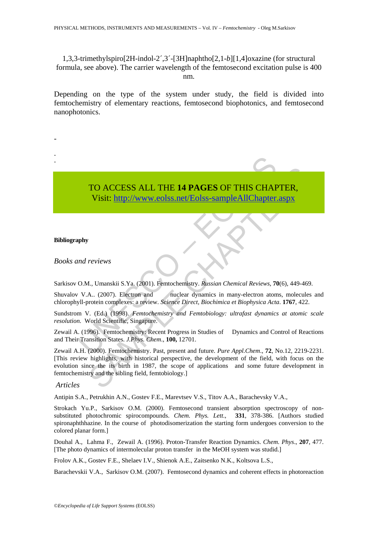1,3,3-trimethylspiro[2H-indol-2´,3´-[3H]naphtho[2,1-*b*][1,4]oxazine (for structural formula, see above). The carrier wavelength of the femtosecond excitation pulse is 400 nm.

Depending on the type of the system under study, the field is divided into femtochemistry of elementary reactions, femtosecond biophotonics, and femtosecond nanophotonics.

TO ACCESS ALL THE 14 PAGES OF THIS CHAF<br>
Visit: http://www.eolss.net/Eolss-sampleAllChapter.<br>
phy<br>
and reviews<br>
O.M., Umanskii S.Ya. (2001). Femtochemistry. Russian Chemical Reviews, 7<br>
U.A.. (2007). Electron and muclear d TO ACCESS ALL THE **14 PAGES** OF THIS CHAPTER, Visit: http://www.eolss.net/Eolss-sampleAllChapter.aspx

### **Bibliography**

-

- -

*Books and reviews* 

Sarkisov O.M., Umanskii S.Ya. (2001). Femtochemistry. *Russian Chemical Reviews*, **70**(6), 449-469.

Shuvalov V.A.. (2007). Electron and nuclear dynamics in many-electron atoms, molecules and chlorophyll-protein complexes: a review. *Science Direct, Biochimica et Biophysica Acta*. **1767**, 422.

Sundstrom V. (Ed.) (1998). *Femtochemistry and Femtobiology: ultrafast dynamics at atomic scale resolution.* World Scientific, Singapure.

Zewail A. (1996). Femtochemistry: Recent Progress in Studies of Dynamics and Control of Reactions and Their Transition States. *J.Phys. Chem*., **100,** 12701.

TO ACCESS ALL THE 14 PAGES OF THIS CHAPTER,<br>Visit: http://www.eolss.net/Eolss-sampleAllChapter.aspx<br>reviews<br>A., Umanskii S.Ya. (2001). Femtochemistry. Russian Chemical Reviews, 70(6), 449-469<br>A., (2007). Electron and<br>mucle Zewail A.H. (2000). Femtochemistry. Past, present and future. *Pure Appl.Chem*., **72**, No.12, 2219-2231. [This review highlights, with historical perspective, the development of the field, with focus on the evolution since the its birth in 1987, the scope of applications and some future development in femtochemistry and the sibling field, femtobiology.]

### *Articles*

Antipin S.A., Petrukhin A.N., Gostev F.E., Marevtsev V.S., Titov A.A., Barachevsky V.A.,

Strokach Yu.P., Sarkisov O.M. (2000). Femtosecond transient absorption spectroscopy of nonsubstituted photochromic spirocompounds. *Chem. Phys. Lett*., **331**, 378-386. [Authors studied spironaphthhazine. In the course of photodisomerization the starting form undergoes conversion to the colored planar form.]

Douhal A., Lahma F., Zewail A. (1996). Proton-Transfer Reaction Dynamics. *Chem. Phys*., **207**, 477. [The photo dynamics of intermolecular proton transfer in the MeOH system was studid.]

Frolov A.K., Gostev F.E., Shelaev I.V., Shienok A.E., Zaitsenko N.K., Koltsova L.S.,

Barachevskii V.A., Sarkisov O.M. (2007). Femtosecond dynamics and coherent effects in photoreaction